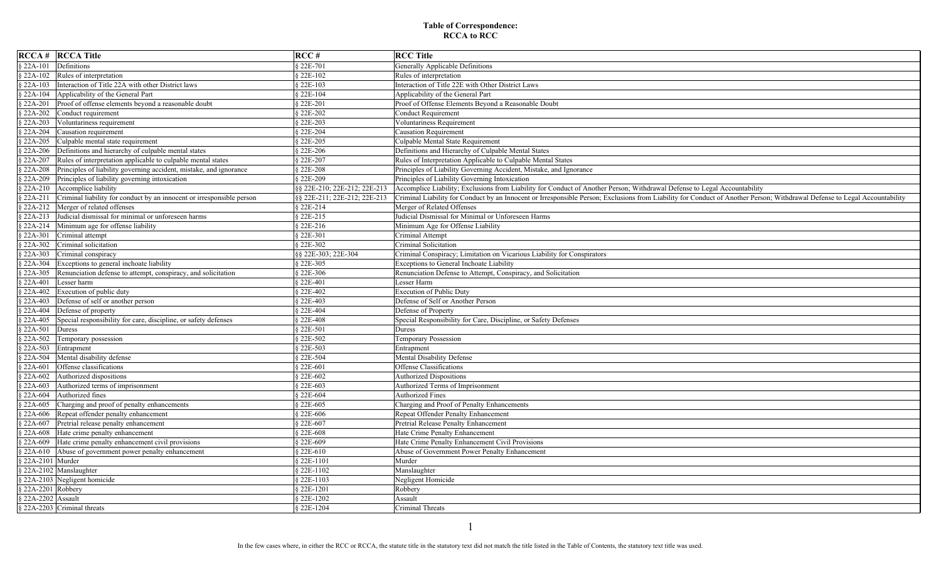| $RCCA \#$ RCCA Title                                                                | RCC#                         | <b>RCC</b> Title                                                                                                                                                           |
|-------------------------------------------------------------------------------------|------------------------------|----------------------------------------------------------------------------------------------------------------------------------------------------------------------------|
| § 22A-101<br>Definitions                                                            | § 22E-701                    | Generally Applicable Definitions                                                                                                                                           |
| $$22A-102$<br>Rules of interpretation                                               | § 22E-102                    | Rules of interpretation                                                                                                                                                    |
| Interaction of Title 22A with other District laws<br>$22A-103$                      | § 22E-103                    | Interaction of Title 22E with Other District Laws                                                                                                                          |
| Applicability of the General Part<br>§ 22A-104                                      | § 22E-104                    | Applicability of the General Part                                                                                                                                          |
| Proof of offense elements beyond a reasonable doubt<br>$$22A-201$                   | § 22E-201                    | Proof of Offense Elements Beyond a Reasonable Doubt                                                                                                                        |
| Conduct requirement<br>$§ 22A-202$                                                  | § 22E-202                    | <b>Conduct Requirement</b>                                                                                                                                                 |
| $$22A-203$<br>Voluntariness requirement                                             | § 22E-203                    | Voluntariness Requirement                                                                                                                                                  |
| $§ 22A-204$<br>Causation requirement                                                | § 22E-204                    | <b>Causation Requirement</b>                                                                                                                                               |
| Culpable mental state requirement<br>$$22A-205$                                     | § 22E-205                    | Culpable Mental State Requirement                                                                                                                                          |
| Definitions and hierarchy of culpable mental states<br>$$22A-206$                   | § 22E-206                    | Definitions and Hierarchy of Culpable Mental States                                                                                                                        |
| Rules of interpretation applicable to culpable mental states<br>$$22A-207$          | § 22E-207                    | Rules of Interpretation Applicable to Culpable Mental States                                                                                                               |
| Principles of liability governing accident, mistake, and ignorance<br>$§ 22A-208$   | § 22E-208                    | Principles of Liability Governing Accident, Mistake, and Ignorance                                                                                                         |
| Principles of liability governing intoxication<br>$$22A-209$                        | § 22E-209                    | Principles of Liability Governing Intoxication                                                                                                                             |
| Accomplice liability<br>$$22A-210$                                                  | §§ 22E-210; 22E-212; 22E-213 | Accomplice Liability; Exclusions from Liability for Conduct of Another Person; Withdrawal Defense to Legal Accountability                                                  |
| $$22A-211$<br>Criminal liability for conduct by an innocent or irresponsible person | §§ 22E-211; 22E-212; 22E-213 | Criminal Liability for Conduct by an Innocent or Irresponsible Person; Exclusions from Liability for Conduct of Another Person; Withdrawal Defense to Legal Accountability |
| § 22A-212 Merger of related offenses                                                | § 22E-214                    | Merger of Related Offenses                                                                                                                                                 |
| 22A-213 Judicial dismissal for minimal or unforeseen harms                          | § 22E-215                    | Judicial Dismissal for Minimal or Unforeseen Harms                                                                                                                         |
| $\frac{1}{2}$ 22A-214 Minimum age for offense liability                             | § 22E-216                    | Minimum Age for Offense Liability                                                                                                                                          |
| $$22A-301$<br>Criminal attempt                                                      | § 22E-301                    | Criminal Attempt                                                                                                                                                           |
| $$22A-302$<br>Criminal solicitation                                                 | § 22E-302                    | Criminal Solicitation                                                                                                                                                      |
| $22A-303$<br>Criminal conspiracy                                                    | §§ 22E-303; 22E-304          | Criminal Conspiracy; Limitation on Vicarious Liability for Conspirators                                                                                                    |
| $22A-304$<br>Exceptions to general inchoate liability                               | § 22E-305                    | Exceptions to General Inchoate Liability                                                                                                                                   |
| $$22A-305$<br>Renunciation defense to attempt, conspiracy, and solicitation         | § 22E-306                    | Renunciation Defense to Attempt, Conspiracy, and Solicitation                                                                                                              |
| $$22A-401$<br>Lesser harm                                                           | § 22E-401                    | Lesser Harm                                                                                                                                                                |
| $$22A-402$<br>Execution of public duty                                              | § 22E-402                    | <b>Execution of Public Duty</b>                                                                                                                                            |
| Defense of self or another person<br>$22A-403$                                      | § 22E-403                    | Defense of Self or Another Person                                                                                                                                          |
| $$22A-404$<br>Defense of property                                                   | § 22E-404                    | Defense of Property                                                                                                                                                        |
| $$22A-405$<br>Special responsibility for care, discipline, or safety defenses       | § 22E-408                    | Special Responsibility for Care, Discipline, or Safety Defenses                                                                                                            |
| $$22A-501$<br>Duress                                                                | § 22E-501                    | Duress                                                                                                                                                                     |
| $$22A-502$<br>Temporary possession                                                  | § 22E-502                    | Temporary Possession                                                                                                                                                       |
| $$22A-503$<br>Entrapment                                                            | § 22E-503                    | Entrapment                                                                                                                                                                 |
| § 22A-504 Mental disability defense                                                 | § 22E-504                    | Mental Disability Defense                                                                                                                                                  |
| Offense classifications<br>$$22A-601$                                               | § 22E-601                    | Offense Classifications                                                                                                                                                    |
| Authorized dispositions<br>$22A-602$                                                | § 22E-602                    | Authorized Dispositions                                                                                                                                                    |
| $$22A-603$<br>Authorized terms of imprisonment                                      | § 22E-603                    | Authorized Terms of Imprisonment                                                                                                                                           |
| Authorized fines<br>$$22A-604$                                                      | § 22E-604                    | <b>Authorized Fines</b>                                                                                                                                                    |
| Charging and proof of penalty enhancements<br>$22A-605$                             | § 22E-605                    | Charging and Proof of Penalty Enhancements                                                                                                                                 |
| Repeat offender penalty enhancement<br>$22A-606$                                    | § 22E-606                    | Repeat Offender Penalty Enhancement                                                                                                                                        |
| Pretrial release penalty enhancement<br>$$22A-607$                                  | § 22E-607                    | Pretrial Release Penalty Enhancement                                                                                                                                       |
| Hate crime penalty enhancement<br>$22A-608$                                         | § 22E-608                    | Hate Crime Penalty Enhancement                                                                                                                                             |
| Hate crime penalty enhancement civil provisions<br>$22A-609$                        | § 22E-609                    | Hate Crime Penalty Enhancement Civil Provisions                                                                                                                            |
| Abuse of government power penalty enhancement<br>$22A-610$                          | § 22E-610                    | Abuse of Government Power Penalty Enhancement                                                                                                                              |
| 22A-2101 Murder                                                                     | § 22E-1101                   | Murder                                                                                                                                                                     |
| 22A-2102 Manslaughter                                                               | § 22E-1102                   | Manslaughter                                                                                                                                                               |
| § 22A-2103 Negligent homicide                                                       | § 22E-1103                   | Negligent Homicide                                                                                                                                                         |
| $§$ 22A-2201 Robbery                                                                | § 22E-1201                   | Robbery                                                                                                                                                                    |
| § 22A-2202 Assault                                                                  | § 22E-1202                   | Assault                                                                                                                                                                    |
| § 22A-2203 Criminal threats                                                         | § 22E-1204                   | Criminal Threats                                                                                                                                                           |

1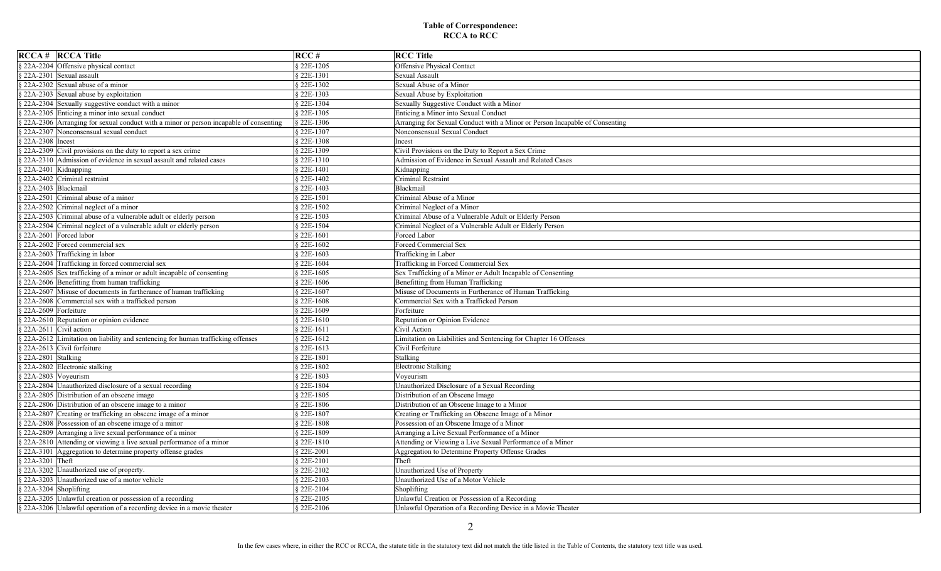| <b>RCCA # RCCA Title</b>                                                                         | RCC#        | <b>RCC Title</b>                                                            |
|--------------------------------------------------------------------------------------------------|-------------|-----------------------------------------------------------------------------|
| 22A-2204 Offensive physical contact                                                              | § 22E-1205  | <b>Offensive Physical Contact</b>                                           |
| $$22A-2301$ Sexual assault                                                                       | § 22E-1301  | Sexual Assault                                                              |
| $\frac{3}{22A-2302}$ Sexual abuse of a minor                                                     | 322E-1302   | Sexual Abuse of a Minor                                                     |
| $\frac{1}{22A-2303}$ Sexual abuse by exploitation                                                | § 22E-1303  | Sexual Abuse by Exploitation                                                |
| 22A-2304 Sexually suggestive conduct with a minor                                                | 322E-1304   | Sexually Suggestive Conduct with a Minor                                    |
| 22A-2305 Enticing a minor into sexual conduct                                                    | § 22E-1305  | Enticing a Minor into Sexual Conduct                                        |
| $\frac{1}{22A-2306}$ Arranging for sexual conduct with a minor or person incapable of consenting | § 22E-1306  | Arranging for Sexual Conduct with a Minor or Person Incapable of Consenting |
| 22A-2307 Nonconsensual sexual conduct                                                            | 22E-1307    | Nonconsensual Sexual Conduct                                                |
| $22A-2308$ Incest                                                                                | § 22E-1308  | Incest                                                                      |
| $\frac{1}{2}$ 22A-2309 Civil provisions on the duty to report a sex crime                        | 22E-1309    | Civil Provisions on the Duty to Report a Sex Crime                          |
| 22A-2310 Admission of evidence in sexual assault and related cases                               | 22E-1310    | Admission of Evidence in Sexual Assault and Related Cases                   |
| 22A-2401 Kidnapping                                                                              | $22E-1401$  | Kidnapping                                                                  |
| 22A-2402 Criminal restraint                                                                      | § 22E-1402  | Criminal Restraint                                                          |
| $$22A-2403$ Blackmail                                                                            | 22E-1403    | Blackmail                                                                   |
| 22A-2501 Criminal abuse of a minor                                                               | $$22E-1501$ | Criminal Abuse of a Minor                                                   |
| 22A-2502 Criminal neglect of a minor                                                             | 22E-1502    | Criminal Neglect of a Minor                                                 |
| 22A-2503 Criminal abuse of a vulnerable adult or elderly person                                  | § 22E-1503  | Criminal Abuse of a Vulnerable Adult or Elderly Person                      |
| 22A-2504 Criminal neglect of a vulnerable adult or elderly person                                | § 22E-1504  | Criminal Neglect of a Vulnerable Adult or Elderly Person                    |
| 22A-2601 Forced labor                                                                            | 22E-1601    | Forced Labor                                                                |
| 22A-2602 Forced commercial sex                                                                   | 22E-1602    | Forced Commercial Sex                                                       |
| 22A-2603 Trafficking in labor                                                                    | 22E-1603    | Trafficking in Labor                                                        |
| $\frac{1}{2}$ 22A-2604 Trafficking in forced commercial sex                                      | 22E-1604    | Trafficking in Forced Commercial Sex                                        |
| 22A-2605 Sex trafficking of a minor or adult incapable of consenting                             | 22E-1605    | Sex Trafficking of a Minor or Adult Incapable of Consenting                 |
| $\frac{1}{2}$ 22A-2606 Benefitting from human trafficking                                        | $32E-1606$  | Benefitting from Human Trafficking                                          |
| $\frac{1}{2}$ 22A-2607 Misuse of documents in furtherance of human trafficking                   | 22E-1607    | Misuse of Documents in Furtherance of Human Trafficking                     |
| $\frac{1}{2}$ 22A-2608 Commercial sex with a trafficked person                                   | 22E-1608    | Commercial Sex with a Trafficked Person                                     |
| $22A-2609$ Forfeiture                                                                            | 22E-1609    | Forfeiture                                                                  |
| $\frac{3}{22A-2610}$ Reputation or opinion evidence                                              | § 22E-1610  | Reputation or Opinion Evidence                                              |
| $22A-2611$ Civil action                                                                          | $$22E-1611$ | Civil Action                                                                |
| 22A-2612 Limitation on liability and sentencing for human trafficking offenses                   | § 22E-1612  | Limitation on Liabilities and Sentencing for Chapter 16 Offenses            |
| $\frac{3}{22A-2613}$ Civil forfeiture                                                            | 22E-1613    | Civil Forfeiture                                                            |
| $22A-2801$ Stalking                                                                              | § 22E-1801  | Stalking                                                                    |
| $22A-2802$ Electronic stalking                                                                   | § 22E-1802  | <b>Electronic Stalking</b>                                                  |
| $22A-2803$ Voyeurism                                                                             | § 22E-1803  | Voyeurism                                                                   |
| 22A-2804 Unauthorized disclosure of a sexual recording                                           | $32E-1804$  | Unauthorized Disclosure of a Sexual Recording                               |
| 22A-2805 Distribution of an obscene image                                                        | 22E-1805    | Distribution of an Obscene Image                                            |
| 22A-2806 Distribution of an obscene image to a minor                                             | 22E-1806    | Distribution of an Obscene Image to a Minor                                 |
| 22A-2807 Creating or trafficking an obscene image of a minor                                     | 22E-1807    | Creating or Trafficking an Obscene Image of a Minor                         |
| 22A-2808 Possession of an obscene image of a minor                                               | 22E-1808    | Possession of an Obscene Image of a Minor                                   |
| 22A-2809 Arranging a live sexual performance of a minor                                          | § 22E-1809  | Arranging a Live Sexual Performance of a Minor                              |
| 22A-2810 Attending or viewing a live sexual performance of a minor                               | 22E-1810    | Attending or Viewing a Live Sexual Performance of a Minor                   |
| 22A-3101 Aggregation to determine property offense grades                                        | 22E-2001    | Aggregation to Determine Property Offense Grades                            |
| 22A-3201 Theft                                                                                   | 22E-2101    | Theft                                                                       |
| 22A-3202 Unauthorized use of property.                                                           | 22E-2102    | Unauthorized Use of Property                                                |
| § 22A-3203 Unauthorized use of a motor vehicle                                                   | 22E-2103    | Unauthorized Use of a Motor Vehicle                                         |
| $$22A-3204$ Shoplifting                                                                          | 22E-2104    | Shoplifting                                                                 |
| 22A-3205 Unlawful creation or possession of a recording                                          | 22E-2105    | Unlawful Creation or Possession of a Recording                              |
| § 22A-3206 Unlawful operation of a recording device in a movie theater                           | § 22E-2106  | Unlawful Operation of a Recording Device in a Movie Theater                 |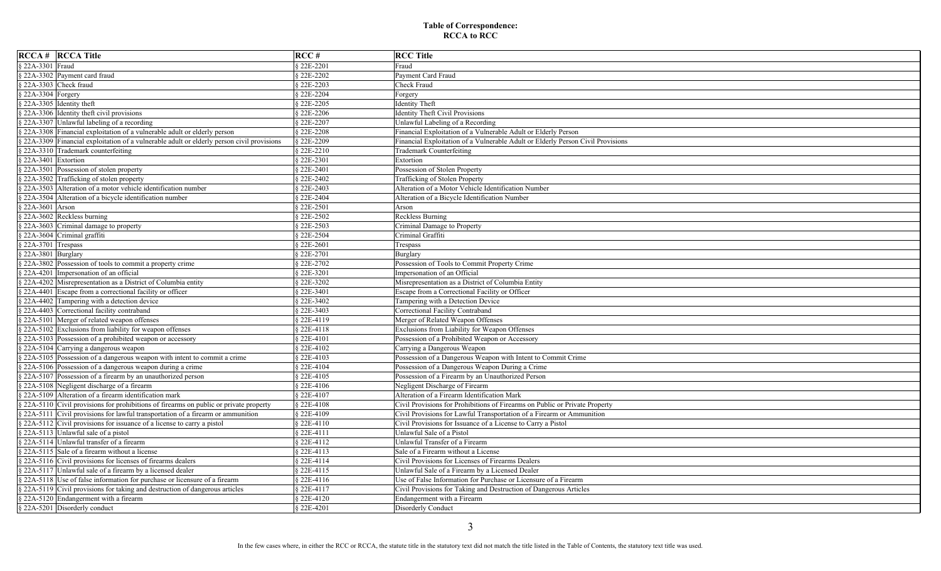| <b>RCCA # RCCA Title</b>                                                                             | RCC#       | <b>RCC Title</b>                                                                |
|------------------------------------------------------------------------------------------------------|------------|---------------------------------------------------------------------------------|
| 22A-3301 Fraud                                                                                       | § 22E-2201 | Fraud                                                                           |
| 22A-3302 Payment card fraud                                                                          | § 22E-2202 | Payment Card Fraud                                                              |
| $22A-3303$ Check fraud                                                                               | § 22E-2203 | Check Fraud                                                                     |
| $22A-3304$ Forgery                                                                                   | § 22E-2204 | Forgery                                                                         |
| $22A-3305$ Identity theft                                                                            | § 22E-2205 | <b>Identity Theft</b>                                                           |
| 22A-3306 Identity theft civil provisions                                                             | § 22E-2206 | <b>Identity Theft Civil Provisions</b>                                          |
| 22A-3307 Unlawful labeling of a recording                                                            | § 22E-2207 | Unlawful Labeling of a Recording                                                |
| 22A-3308 Financial exploitation of a vulnerable adult or elderly person                              | § 22E-2208 | Financial Exploitation of a Vulnerable Adult or Elderly Person                  |
| $\frac{1}{22A-3309}$ Financial exploitation of a vulnerable adult or elderly person civil provisions | § 22E-2209 | Financial Exploitation of a Vulnerable Adult or Elderly Person Civil Provisions |
| 22A-3310 Trademark counterfeiting                                                                    | § 22E-2210 | <b>Trademark Counterfeiting</b>                                                 |
| $22A-3401$ Extortion                                                                                 | § 22E-2301 | Extortion                                                                       |
| 22A-3501 Possession of stolen property                                                               | § 22E-2401 | Possession of Stolen Property                                                   |
| $\frac{1}{2}$ 22A-3502 Trafficking of stolen property                                                | § 22E-2402 | Trafficking of Stolen Property                                                  |
| 22A-3503<br>Alteration of a motor vehicle identification number                                      | § 22E-2403 | Alteration of a Motor Vehicle Identification Number                             |
| 22A-3504 Alteration of a bicycle identification number                                               | § 22E-2404 | Alteration of a Bicycle Identification Number                                   |
| 22A-3601 Arson                                                                                       | § 22E-2501 | Arson                                                                           |
| 22A-3602 Reckless burning                                                                            | 8 22E-2502 | Reckless Burning                                                                |
| $\frac{1}{2}$ 22A-3603 Criminal damage to property                                                   | § 22E-2503 | Criminal Damage to Property                                                     |
| 22A-3604 Criminal graffiti                                                                           | § 22E-2504 | Criminal Graffiti                                                               |
| $22A-3701$ Trespass                                                                                  | § 22E-2601 | Trespass                                                                        |
| $22A-3801$ Burglary                                                                                  | § 22E-2701 | Burglary                                                                        |
| 22A-3802 Possession of tools to commit a property crime                                              | § 22E-2702 | Possession of Tools to Commit Property Crime                                    |
| 22A-4201 Impersonation of an official                                                                | § 22E-3201 | Impersonation of an Official                                                    |
| 22A-4202 Misrepresentation as a District of Columbia entity                                          | § 22E-3202 | Misrepresentation as a District of Columbia Entity                              |
| 22A-4401 Escape from a correctional facility or officer                                              | § 22E-3401 | Escape from a Correctional Facility or Officer                                  |
| $\frac{3}{2}$ 22A-4402 Tampering with a detection device                                             | § 22E-3402 | Tampering with a Detection Device                                               |
| 22A-4403 Correctional facility contraband                                                            | § 22E-3403 | Correctional Facility Contraband                                                |
| 22A-5101 Merger of related weapon offenses                                                           | § 22E-4119 | Merger of Related Weapon Offenses                                               |
| 22A-5102 Exclusions from liability for weapon offenses                                               | § 22E-4118 | Exclusions from Liability for Weapon Offenses                                   |
| $\frac{1}{2}$ 22A-5103 Possession of a prohibited weapon or accessory                                | § 22E-4101 | Possession of a Prohibited Weapon or Accessory                                  |
| $\frac{1}{2}$ 22A-5104 Carrying a dangerous weapon                                                   | § 22E-4102 | Carrying a Dangerous Weapon                                                     |
| $\frac{1}{22A-5105}$ Possession of a dangerous weapon with intent to commit a crime                  | § 22E-4103 | Possession of a Dangerous Weapon with Intent to Commit Crime                    |
| $\frac{1}{2}$ 22A-5106 Possession of a dangerous weapon during a crime                               | § 22E-4104 | Possession of a Dangerous Weapon During a Crime                                 |
| 22A-5107 Possession of a firearm by an unauthorized person                                           | § 22E-4105 | Possession of a Firearm by an Unauthorized Person                               |
| 22A-5108 Negligent discharge of a firearm                                                            | § 22E-4106 | Negligent Discharge of Firearm                                                  |
| 22A-5109 Alteration of a firearm identification mark                                                 | § 22E-4107 | Alteration of a Firearm Identification Mark                                     |
| $\frac{1}{2}$ 22A-5110 Civil provisions for prohibitions of firearms on public or private property   | § 22E-4108 | Civil Provisions for Prohibitions of Firearms on Public or Private Property     |
| 22A-5111 Civil provisions for lawful transportation of a firearm or ammunition                       | § 22E-4109 | Civil Provisions for Lawful Transportation of a Firearm or Ammunition           |
| 22A-5112 Civil provisions for issuance of a license to carry a pistol                                | § 22E-4110 | Civil Provisions for Issuance of a License to Carry a Pistol                    |
| 22A-5113 Unlawful sale of a pistol                                                                   | § 22E-4111 | Unlawful Sale of a Pistol                                                       |
| 22A-5114 Unlawful transfer of a firearm                                                              | § 22E-4112 | Unlawful Transfer of a Firearm                                                  |
| 22A-5115 Sale of a firearm without a license                                                         | § 22E-4113 | Sale of a Firearm without a License                                             |
| $\frac{5}{22A-5116}$ Civil provisions for licenses of firearms dealers                               | § 22E-4114 | Civil Provisions for Licenses of Firearms Dealers                               |
| 22A-5117 Unlawful sale of a firearm by a licensed dealer                                             | § 22E-4115 | Unlawful Sale of a Firearm by a Licensed Dealer                                 |
| § 22A-5118 Use of false information for purchase or licensure of a firearm                           | § 22E-4116 | Use of False Information for Purchase or Licensure of a Firearm                 |
| 22A-5119 Civil provisions for taking and destruction of dangerous articles                           | § 22E-4117 | Civil Provisions for Taking and Destruction of Dangerous Articles               |
| $\frac{1}{2}$ 22A-5120 Endangerment with a firearm                                                   | § 22E-4120 | Endangerment with a Firearm                                                     |
| § 22A-5201 Disorderly conduct                                                                        | § 22E-4201 | <b>Disorderly Conduct</b>                                                       |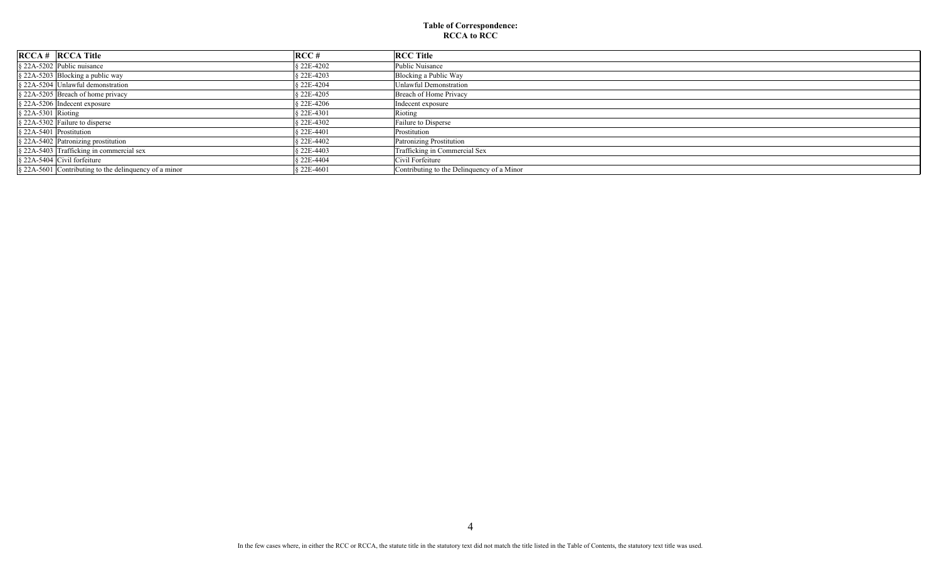|                                | $RCCA \#$ RCCA Title                                     | RCC#       | <b>RCC Title</b>                           |
|--------------------------------|----------------------------------------------------------|------------|--------------------------------------------|
|                                | $\&$ 22A-5202 Public nuisance                            | 22E-4202   | Public Nuisance                            |
|                                | $\frac{1}{2}$ 22A-5203 Blocking a public way             | § 22E-4203 | Blocking a Public Way                      |
|                                | § 22A-5204 Unlawful demonstration                        | S 22E-4204 | Unlawful Demonstration                     |
|                                | $\frac{1}{2}$ 22A-5205 Breach of home privacy            | S 22E-4205 | Breach of Home Privacy                     |
|                                | $\frac{1}{2}$ 22A-5206 Indecent exposure                 | S 22E-4206 | Indecent exposure                          |
| $\frac{1}{2}$ 22A-5301 Rioting |                                                          | S 22E-4301 | Rioting                                    |
|                                | $\frac{1}{2}$ 22A-5302 Failure to disperse               | S 22E-4302 | Failure to Disperse                        |
| $\&$ 22A-5401 Prostitution     |                                                          | § 22E-4401 | Prostitution                               |
|                                | § 22A-5402 Patronizing prostitution                      | S 22E-4402 | Patronizing Prostitution                   |
|                                | $\frac{1}{2}$ 22A-5403 Trafficking in commercial sex     | S 22E-4403 | Trafficking in Commercial Sex              |
|                                | $\&$ 22A-5404 Civil forfeiture                           | S 22E-4404 | Civil Forfeiture                           |
|                                | $\S$ 22A-5601 Contributing to the delinquency of a minor | 8 22E-4601 | Contributing to the Delinquency of a Minor |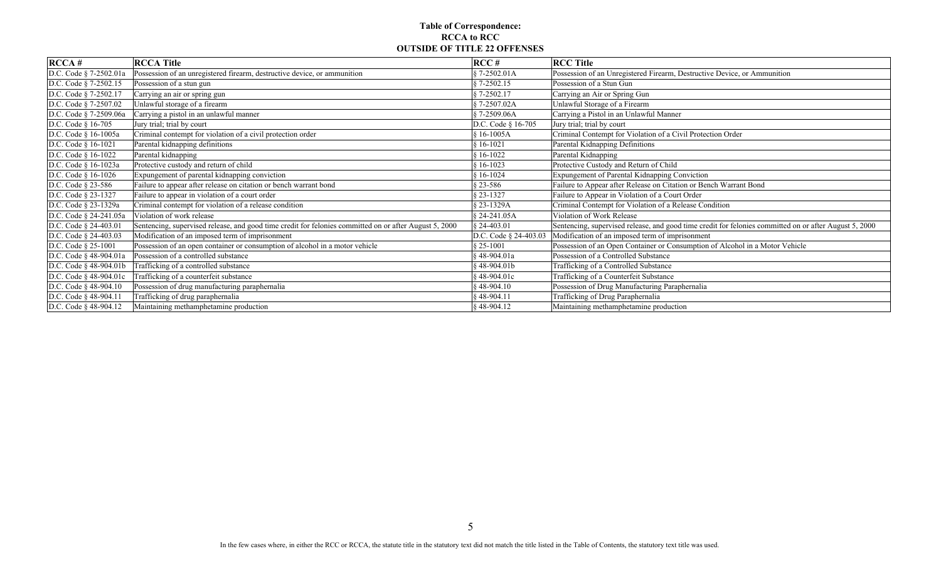### **Table of Correspondence: RCCA to RCC OUTSIDE OF TITLE 22 OFFENSES**

| RCCA#                    | <b>RCCA Title</b>                                                                                      | RCC#                    | <b>RCC Title</b>                                                                                       |
|--------------------------|--------------------------------------------------------------------------------------------------------|-------------------------|--------------------------------------------------------------------------------------------------------|
| D.C. Code § 7-2502.01a   | Possession of an unregistered firearm, destructive device, or ammunition                               | $$7-2502.01A$           | Possession of an Unregistered Firearm, Destructive Device, or Ammunition                               |
| D.C. Code § 7-2502.15    | Possession of a stun gun                                                                               | $$7-2502.15$            | Possession of a Stun Gun                                                                               |
| D.C. Code § 7-2502.17    | Carrying an air or spring gun                                                                          | 87-2502.17              | Carrying an Air or Spring Gun                                                                          |
| D.C. Code § 7-2507.02    | Unlawful storage of a firearm                                                                          | §7-2507.02A             | Unlawful Storage of a Firearm                                                                          |
| D.C. Code § 7-2509.06a   | Carrying a pistol in an unlawful manner                                                                | $$7-2509.06A$           | Carrying a Pistol in an Unlawful Manner                                                                |
| D.C. Code § 16-705       | Jury trial; trial by court                                                                             | D.C. Code § 16-705      | Jury trial; trial by court                                                                             |
| D.C. Code § 16-1005a     | Criminal contempt for violation of a civil protection order                                            | § 16-1005A              | Criminal Contempt for Violation of a Civil Protection Order                                            |
| D.C. Code § 16-1021      | Parental kidnapping definitions                                                                        | $$16-1021$              | Parental Kidnapping Definitions                                                                        |
| D.C. Code $§$ 16-1022    | Parental kidnapping                                                                                    | $$16-1022$              | Parental Kidnapping                                                                                    |
| D.C. Code § 16-1023a     | Protective custody and return of child                                                                 | $$16-1023$              | Protective Custody and Return of Child                                                                 |
| D.C. Code § 16-1026      | Expungement of parental kidnapping conviction                                                          | $$16-1024$              | Expungement of Parental Kidnapping Conviction                                                          |
| D.C. Code § 23-586       | Failure to appear after release on citation or bench warrant bond                                      | $$23-586$               | Failure to Appear after Release on Citation or Bench Warrant Bond                                      |
| D.C. Code § 23-1327      | Failure to appear in violation of a court order                                                        | \$23-1327               | Failure to Appear in Violation of a Court Order                                                        |
| D.C. Code § 23-1329a     | Criminal contempt for violation of a release condition                                                 | § 23-1329A              | Criminal Contempt for Violation of a Release Condition                                                 |
| D.C. Code § 24-241.05a   | Violation of work release                                                                              | § 24-241.05A            | Violation of Work Release                                                                              |
| D.C. Code § 24-403.01    | Sentencing, supervised release, and good time credit for felonies committed on or after August 5, 2000 | $$24-403.01$            | Sentencing, supervised release, and good time credit for felonies committed on or after August 5, 2000 |
| D.C. Code § 24-403.03    | Modification of an imposed term of imprisonment                                                        | D.C. Code § 24-403.03   | Modification of an imposed term of imprisonment                                                        |
| D.C. Code § 25-1001      | Possession of an open container or consumption of alcohol in a motor vehicle                           | $$25-1001$              | Possession of an Open Container or Consumption of Alcohol in a Motor Vehicle                           |
| D.C. Code § 48-904.01a   | Possession of a controlled substance                                                                   | §48-904.01a             | Possession of a Controlled Substance                                                                   |
| D.C. Code § 48-904.01b   | Trafficking of a controlled substance                                                                  | $§$ 48-904.01b          | Trafficking of a Controlled Substance                                                                  |
| D.C. Code § 48-904.01c   | Trafficking of a counterfeit substance                                                                 | $$48-904.01c$           | Trafficking of a Counterfeit Substance                                                                 |
| D.C. Code § 48-904.10    | Possession of drug manufacturing paraphernalia                                                         | $§$ 48-904.10           | Possession of Drug Manufacturing Paraphernalia                                                         |
| D.C. Code § 48-904.11    | Trafficking of drug paraphernalia                                                                      | $§$ 48-904.11           | Trafficking of Drug Paraphernalia                                                                      |
| D.C. Code $\S$ 48-904.12 | Maintaining methamphetamine production                                                                 | $\frac{1}{2}$ 48-904.12 | Maintaining methamphetamine production                                                                 |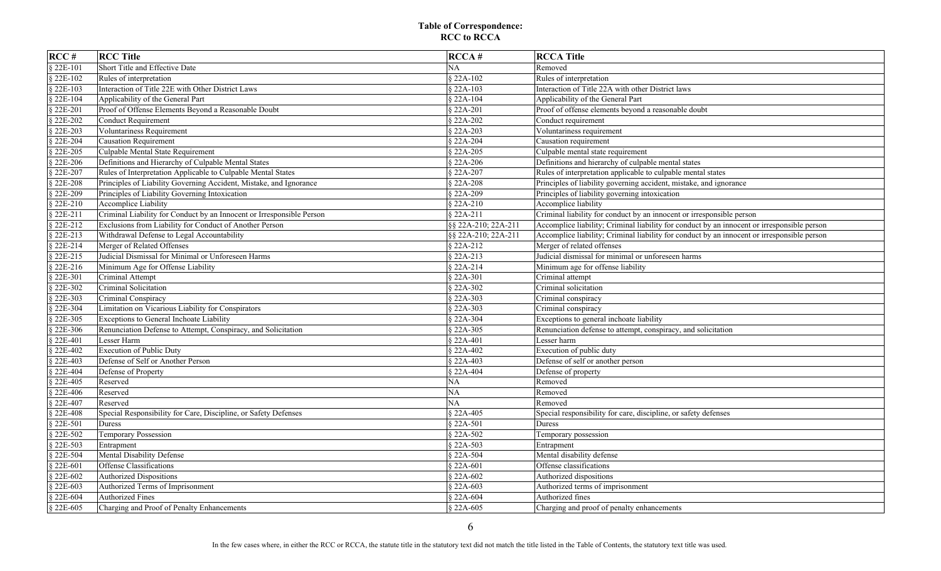| RCC#       | <b>RCC Title</b>                                                      | RCCA#               | <b>RCCA Title</b>                                                                           |
|------------|-----------------------------------------------------------------------|---------------------|---------------------------------------------------------------------------------------------|
| § 22E-101  | Short Title and Effective Date                                        | NA                  | Removed                                                                                     |
| § 22E-102  | Rules of interpretation                                               | § 22A-102           | Rules of interpretation                                                                     |
| § 22E-103  | Interaction of Title 22E with Other District Laws                     | § 22A-103           | Interaction of Title 22A with other District laws                                           |
| § 22E-104  | Applicability of the General Part                                     | § 22A-104           | Applicability of the General Part                                                           |
| § 22E-201  | Proof of Offense Elements Beyond a Reasonable Doubt                   | § 22A-201           | Proof of offense elements beyond a reasonable doubt                                         |
| § 22E-202  | Conduct Requirement                                                   | § 22A-202           | Conduct requirement                                                                         |
| § 22E-203  | Voluntariness Requirement                                             | § 22A-203           | Voluntariness requirement                                                                   |
| § 22E-204  | <b>Causation Requirement</b>                                          | § 22A-204           | Causation requirement                                                                       |
| § 22E-205  | Culpable Mental State Requirement                                     | § 22A-205           | Culpable mental state requirement                                                           |
| § 22E-206  | Definitions and Hierarchy of Culpable Mental States                   | § 22A-206           | Definitions and hierarchy of culpable mental states                                         |
| § 22E-207  | Rules of Interpretation Applicable to Culpable Mental States          | § 22A-207           | Rules of interpretation applicable to culpable mental states                                |
| § 22E-208  | Principles of Liability Governing Accident, Mistake, and Ignorance    | § 22A-208           | Principles of liability governing accident, mistake, and ignorance                          |
| § 22E-209  | Principles of Liability Governing Intoxication                        | § 22A-209           | Principles of liability governing intoxication                                              |
| § 22E-210  | Accomplice Liability                                                  | § 22A-210           | Accomplice liability                                                                        |
| $$22E-211$ | Criminal Liability for Conduct by an Innocent or Irresponsible Person | § 22A-211           | Criminal liability for conduct by an innocent or irresponsible person                       |
| § 22E-212  | Exclusions from Liability for Conduct of Another Person               | §§ 22A-210; 22A-211 | Accomplice liability; Criminal liability for conduct by an innocent or irresponsible person |
| § 22E-213  | Withdrawal Defense to Legal Accountability                            | §§ 22A-210; 22A-211 | Accomplice liability; Criminal liability for conduct by an innocent or irresponsible person |
| § 22E-214  | Merger of Related Offenses                                            | § 22A-212           | Merger of related offenses                                                                  |
| $$22E-215$ | Judicial Dismissal for Minimal or Unforeseen Harms                    | § 22A-213           | Judicial dismissal for minimal or unforeseen harms                                          |
| § 22E-216  | Minimum Age for Offense Liability                                     | § 22A-214           | Minimum age for offense liability                                                           |
| § 22E-301  | Criminal Attempt                                                      | § 22A-301           | Criminal attempt                                                                            |
| § 22E-302  | Criminal Solicitation                                                 | § 22A-302           | Criminal solicitation                                                                       |
| § 22E-303  | Criminal Conspiracy                                                   | § 22A-303           | Criminal conspiracy                                                                         |
| § 22E-304  | Limitation on Vicarious Liability for Conspirators                    | § 22A-303           | Criminal conspiracy                                                                         |
| § 22E-305  | Exceptions to General Inchoate Liability                              | § 22A-304           | Exceptions to general inchoate liability                                                    |
| § 22E-306  | Renunciation Defense to Attempt, Conspiracy, and Solicitation         | § 22A-305           | Renunciation defense to attempt, conspiracy, and solicitation                               |
| § 22E-401  | Lesser Harm                                                           | § 22A-401           | Lesser harm                                                                                 |
| § 22E-402  | <b>Execution of Public Duty</b>                                       | § 22A-402           | Execution of public duty                                                                    |
| § 22E-403  | Defense of Self or Another Person                                     | § 22A-403           | Defense of self or another person                                                           |
| § 22E-404  | Defense of Property                                                   | § 22A-404           | Defense of property                                                                         |
| § 22E-405  | Reserved                                                              | NA                  | Removed                                                                                     |
| § 22E-406  | Reserved                                                              | NA                  | Removed                                                                                     |
| § 22E-407  | Reserved                                                              | $\rm NA$            | Removed                                                                                     |
| § 22E-408  | Special Responsibility for Care, Discipline, or Safety Defenses       | § 22A-405           | Special responsibility for care, discipline, or safety defenses                             |
| § 22E-501  | Duress                                                                | § 22A-501           | Duress                                                                                      |
| § 22E-502  | Temporary Possession                                                  | § 22A-502           | Temporary possession                                                                        |
| § 22E-503  | Entrapment                                                            | § 22A-503           | Entrapment                                                                                  |
| § 22E-504  | Mental Disability Defense                                             | § 22A-504           | Mental disability defense                                                                   |
| § 22E-601  | Offense Classifications                                               | § 22A-601           | Offense classifications                                                                     |
| § 22E-602  | <b>Authorized Dispositions</b>                                        | § 22A-602           | Authorized dispositions                                                                     |
| § 22E-603  | Authorized Terms of Imprisonment                                      | § 22A-603           | Authorized terms of imprisonment                                                            |
| § 22E-604  | <b>Authorized Fines</b>                                               | § 22A-604           | Authorized fines                                                                            |
| $$22E-605$ | Charging and Proof of Penalty Enhancements                            | § 22A-605           | Charging and proof of penalty enhancements                                                  |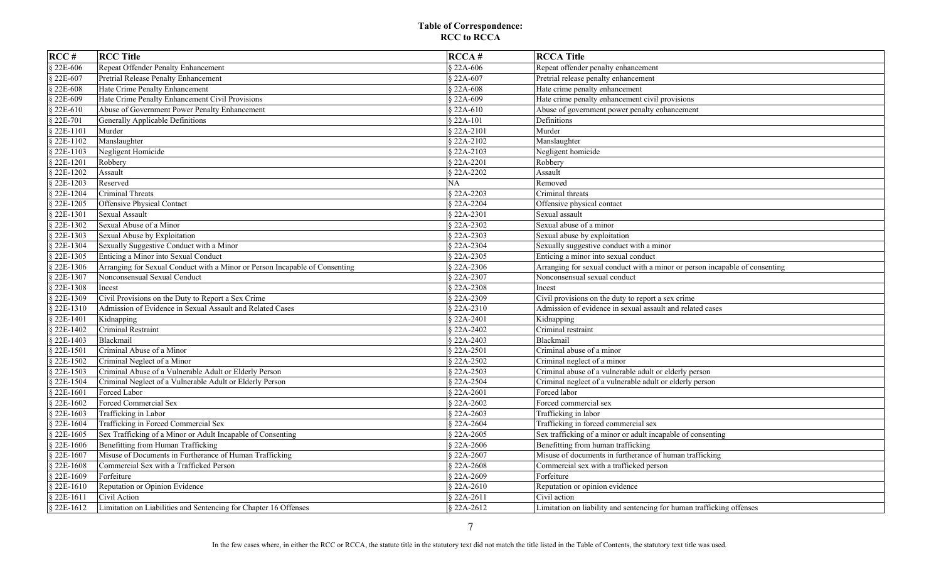| RCC#        | <b>RCC Title</b>                                                            | RCCA#               | <b>RCCA Title</b>                                                           |
|-------------|-----------------------------------------------------------------------------|---------------------|-----------------------------------------------------------------------------|
| § 22E-606   | Repeat Offender Penalty Enhancement                                         | § 22A-606           | Repeat offender penalty enhancement                                         |
| § 22E-607   | Pretrial Release Penalty Enhancement                                        | § 22A-607           | Pretrial release penalty enhancement                                        |
| § 22E-608   | Hate Crime Penalty Enhancement                                              | § 22A-608           | Hate crime penalty enhancement                                              |
| § 22E-609   | Hate Crime Penalty Enhancement Civil Provisions                             | § 22A-609           | Hate crime penalty enhancement civil provisions                             |
| § 22E-610   | Abuse of Government Power Penalty Enhancement                               | § 22A-610           | Abuse of government power penalty enhancement                               |
| § 22E-701   | Generally Applicable Definitions                                            | § 22A-101           | Definitions                                                                 |
| § 22E-1101  | Murder                                                                      | § 22A-2101          | Murder                                                                      |
| § 22E-1102  | Manslaughter                                                                | § 22A-2102          | Manslaughter                                                                |
| § 22E-1103  | Negligent Homicide                                                          | § 22A-2103          | Negligent homicide                                                          |
| § 22E-1201  | Robbery                                                                     | § 22A-2201          | Robbery                                                                     |
| § 22E-1202  | Assault                                                                     | § 22A-2202          | Assault                                                                     |
| $$22E-1203$ | Reserved                                                                    | NA                  | Removed                                                                     |
| § 22E-1204  | Criminal Threats                                                            | § 22A-2203          | Criminal threats                                                            |
| § 22E-1205  | Offensive Physical Contact                                                  | § 22A-2204          | Offensive physical contact                                                  |
| § 22E-1301  | <b>Sexual Assault</b>                                                       | § 22A-2301          | Sexual assault                                                              |
| § 22E-1302  | Sexual Abuse of a Minor                                                     | § 22A-2302          | Sexual abuse of a minor                                                     |
| § 22E-1303  | Sexual Abuse by Exploitation                                                | § 22A-2303          | Sexual abuse by exploitation                                                |
| § 22E-1304  | Sexually Suggestive Conduct with a Minor                                    | § 22A-2304          | Sexually suggestive conduct with a minor                                    |
| § 22E-1305  | Enticing a Minor into Sexual Conduct                                        | § 22A-2305          | Enticing a minor into sexual conduct                                        |
| § 22E-1306  | Arranging for Sexual Conduct with a Minor or Person Incapable of Consenting | § 22A-2306          | Arranging for sexual conduct with a minor or person incapable of consenting |
| § 22E-1307  | Nonconsensual Sexual Conduct                                                | § 22A-2307          | Nonconsensual sexual conduct                                                |
| § 22E-1308  | Incest                                                                      | § 22A-2308          | Incest                                                                      |
| § 22E-1309  | Civil Provisions on the Duty to Report a Sex Crime                          | § 22A-2309          | Civil provisions on the duty to report a sex crime                          |
| § 22E-1310  | Admission of Evidence in Sexual Assault and Related Cases                   | § 22A-2310          | Admission of evidence in sexual assault and related cases                   |
| § 22E-1401  | Kidnapping                                                                  | $\sqrt{$}$ 22A-2401 | Kidnapping                                                                  |
| § 22E-1402  | Criminal Restraint                                                          | § 22A-2402          | Criminal restraint                                                          |
| $$22E-1403$ | <b>Blackmail</b>                                                            | § 22A-2403          | Blackmail                                                                   |
| § 22E-1501  | Criminal Abuse of a Minor                                                   | § 22A-2501          | Criminal abuse of a minor                                                   |
| § 22E-1502  | Criminal Neglect of a Minor                                                 | § 22A-2502          | Criminal neglect of a minor                                                 |
| § 22E-1503  | Criminal Abuse of a Vulnerable Adult or Elderly Person                      | § 22A-2503          | Criminal abuse of a vulnerable adult or elderly person                      |
| § 22E-1504  | Criminal Neglect of a Vulnerable Adult or Elderly Person                    | § 22A-2504          | Criminal neglect of a vulnerable adult or elderly person                    |
| § 22E-1601  | Forced Labor                                                                | § 22A-2601          | Forced labor                                                                |
| § 22E-1602  | Forced Commercial Sex                                                       | § 22A-2602          | Forced commercial sex                                                       |
| § 22E-1603  | Trafficking in Labor                                                        | § 22A-2603          | Trafficking in labor                                                        |
| § 22E-1604  | Trafficking in Forced Commercial Sex                                        | § 22A-2604          | Trafficking in forced commercial sex                                        |
| § 22E-1605  | Sex Trafficking of a Minor or Adult Incapable of Consenting                 | § 22A-2605          | Sex trafficking of a minor or adult incapable of consenting                 |
| § 22E-1606  | Benefitting from Human Trafficking                                          | § 22A-2606          | Benefitting from human trafficking                                          |
| § 22E-1607  | Misuse of Documents in Furtherance of Human Trafficking                     | § 22A-2607          | Misuse of documents in furtherance of human trafficking                     |
| § 22E-1608  | Commercial Sex with a Trafficked Person                                     | § 22A-2608          | Commercial sex with a trafficked person                                     |
| § 22E-1609  | Forfeiture                                                                  | § 22A-2609          | Forfeiture                                                                  |
| $$22E-1610$ | Reputation or Opinion Evidence                                              | § 22A-2610          | Reputation or opinion evidence                                              |
| § 22E-1611  | Civil Action                                                                | § 22A-2611          | Civil action                                                                |
| § 22E-1612  | Limitation on Liabilities and Sentencing for Chapter 16 Offenses            | § 22A-2612          | Limitation on liability and sentencing for human trafficking offenses       |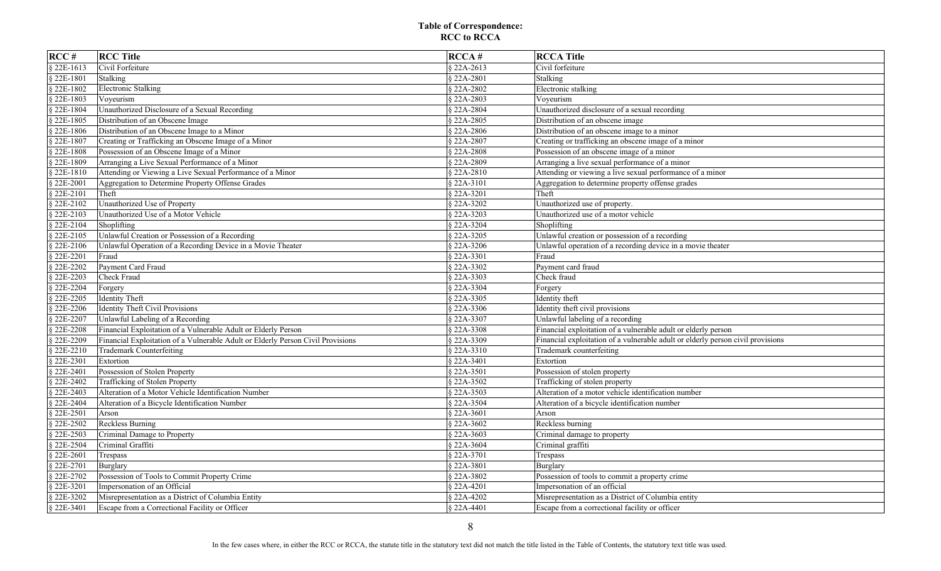| RCC#        | <b>RCC Title</b>                                                                | RCCA#       | <b>RCCA Title</b>                                                               |
|-------------|---------------------------------------------------------------------------------|-------------|---------------------------------------------------------------------------------|
| § 22E-1613  | Civil Forfeiture                                                                | § 22A-2613  | Civil forfeiture                                                                |
| § 22E-1801  | Stalking                                                                        | § 22A-2801  | Stalking                                                                        |
| $$22E-1802$ | Electronic Stalking                                                             | § 22A-2802  | Electronic stalking                                                             |
| § 22E-1803  | Voyeurism                                                                       | § 22A-2803  | Voyeurism                                                                       |
| § 22E-1804  | Unauthorized Disclosure of a Sexual Recording                                   | § 22A-2804  | Unauthorized disclosure of a sexual recording                                   |
| § 22E-1805  | Distribution of an Obscene Image                                                | § 22A-2805  | Distribution of an obscene image                                                |
| $$22E-1806$ | Distribution of an Obscene Image to a Minor                                     | § 22A-2806  | Distribution of an obscene image to a minor                                     |
| § 22E-1807  | Creating or Trafficking an Obscene Image of a Minor                             | § 22A-2807  | Creating or trafficking an obscene image of a minor                             |
| § 22E-1808  | Possession of an Obscene Image of a Minor                                       | § 22A-2808  | Possession of an obscene image of a minor                                       |
| 22E-1809    | Arranging a Live Sexual Performance of a Minor                                  | § 22A-2809  | Arranging a live sexual performance of a minor                                  |
| $$22E-1810$ | Attending or Viewing a Live Sexual Performance of a Minor                       | § 22A-2810  | Attending or viewing a live sexual performance of a minor                       |
| § 22E-2001  | Aggregation to Determine Property Offense Grades                                | § 22A-3101  | Aggregation to determine property offense grades                                |
| 22E-2101    | Theft                                                                           | § 22A-3201  | Theft                                                                           |
| 22E-2102    | Unauthorized Use of Property                                                    | § 22A-3202  | Unauthorized use of property.                                                   |
| $$22E-2103$ | Unauthorized Use of a Motor Vehicle                                             | § 22A-3203  | Unauthorized use of a motor vehicle                                             |
| § 22E-2104  | Shoplifting                                                                     | § 22A-3204  | Shoplifting                                                                     |
| $22E-2105$  | Unlawful Creation or Possession of a Recording                                  | § 22A-3205  | Unlawful creation or possession of a recording                                  |
| § 22E-2106  | Unlawful Operation of a Recording Device in a Movie Theater                     | § 22A-3206  | Unlawful operation of a recording device in a movie theater                     |
| 22E-2201    | Fraud                                                                           | § 22A-3301  | Fraud                                                                           |
| 22E-2202    | Payment Card Fraud                                                              | § 22A-3302  | Payment card fraud                                                              |
| 22E-2203    | Check Fraud                                                                     | $$22A-3303$ | Check fraud                                                                     |
| 22E-2204    | Forgery                                                                         | § 22A-3304  | Forgery                                                                         |
| $$22E-2205$ | <b>Identity Theft</b>                                                           | § 22A-3305  | Identity theft                                                                  |
| § 22E-2206  | <b>Identity Theft Civil Provisions</b>                                          | § 22A-3306  | Identity theft civil provisions                                                 |
| § 22E-2207  | Unlawful Labeling of a Recording                                                | § 22A-3307  | Unlawful labeling of a recording                                                |
| § 22E-2208  | Financial Exploitation of a Vulnerable Adult or Elderly Person                  | § 22A-3308  | Financial exploitation of a vulnerable adult or elderly person                  |
| $$22E-2209$ | Financial Exploitation of a Vulnerable Adult or Elderly Person Civil Provisions | § 22A-3309  | Financial exploitation of a vulnerable adult or elderly person civil provisions |
| § 22E-2210  | Trademark Counterfeiting                                                        | § 22A-3310  | Trademark counterfeiting                                                        |
| $22E-2301$  | Extortion                                                                       | § 22A-3401  | Extortion                                                                       |
| § 22E-2401  | Possession of Stolen Property                                                   | § 22A-3501  | Possession of stolen property                                                   |
| § 22E-2402  | Trafficking of Stolen Property                                                  | § 22A-3502  | Trafficking of stolen property                                                  |
| 22E-2403    | Alteration of a Motor Vehicle Identification Number                             | § 22A-3503  | Alteration of a motor vehicle identification number                             |
| 22E-2404    | Alteration of a Bicycle Identification Number                                   | § 22A-3504  | Alteration of a bicycle identification number                                   |
| § 22E-2501  | Arson                                                                           | § 22A-3601  | Arson                                                                           |
| 22E-2502    | <b>Reckless Burning</b>                                                         | § 22A-3602  | Reckless burning                                                                |
| § 22E-2503  | Criminal Damage to Property                                                     | § 22A-3603  | Criminal damage to property                                                     |
| § 22E-2504  | Criminal Graffiti                                                               | § 22A-3604  | Criminal graffiti                                                               |
| § 22E-2601  | Trespass                                                                        | § 22A-3701  | Trespass                                                                        |
| 22E-2701    | Burglary                                                                        | § 22A-3801  | Burglary                                                                        |
| $$22E-2702$ | Possession of Tools to Commit Property Crime                                    | § 22A-3802  | Possession of tools to commit a property crime                                  |
| 22E-3201    | Impersonation of an Official                                                    | § 22A-4201  | Impersonation of an official                                                    |
| 22E-3202    | Misrepresentation as a District of Columbia Entity                              | § 22A-4202  | Misrepresentation as a District of Columbia entity                              |
| § 22E-3401  | Escape from a Correctional Facility or Officer                                  | § 22A-4401  | Escape from a correctional facility or officer                                  |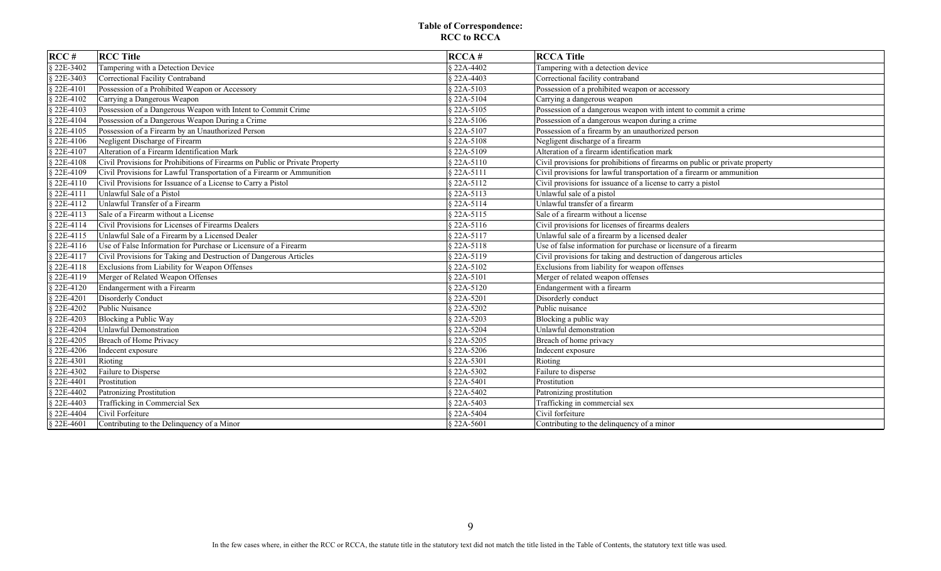| RCC#        | <b>RCC Title</b>                                                            | RCCA#       | <b>RCCA Title</b>                                                           |
|-------------|-----------------------------------------------------------------------------|-------------|-----------------------------------------------------------------------------|
| § 22E-3402  | Tampering with a Detection Device                                           | § 22A-4402  | Tampering with a detection device                                           |
| § 22E-3403  | Correctional Facility Contraband                                            | § 22A-4403  | Correctional facility contraband                                            |
| § 22E-4101  | Possession of a Prohibited Weapon or Accessory                              | § 22A-5103  | Possession of a prohibited weapon or accessory                              |
| § 22E-4102  | Carrying a Dangerous Weapon                                                 | § 22A-5104  | Carrying a dangerous weapon                                                 |
| § 22E-4103  | Possession of a Dangerous Weapon with Intent to Commit Crime                | § 22A-5105  | Possession of a dangerous weapon with intent to commit a crime              |
| § 22E-4104  | Possession of a Dangerous Weapon During a Crime                             | § 22A-5106  | Possession of a dangerous weapon during a crime                             |
| § 22E-4105  | Possession of a Firearm by an Unauthorized Person                           | § 22A-5107  | Possession of a firearm by an unauthorized person                           |
| § 22E-4106  | Negligent Discharge of Firearm                                              | § 22A-5108  | Negligent discharge of a firearm                                            |
| § 22E-4107  | Alteration of a Firearm Identification Mark                                 | § 22A-5109  | Alteration of a firearm identification mark                                 |
| § 22E-4108  | Civil Provisions for Prohibitions of Firearms on Public or Private Property | § 22A-5110  | Civil provisions for prohibitions of firearms on public or private property |
| § 22E-4109  | Civil Provisions for Lawful Transportation of a Firearm or Ammunition       | $$22A-5111$ | Civil provisions for lawful transportation of a firearm or ammunition       |
| § 22E-4110  | Civil Provisions for Issuance of a License to Carry a Pistol                | § 22A-5112  | Civil provisions for issuance of a license to carry a pistol                |
| § 22E-4111  | Unlawful Sale of a Pistol                                                   | § 22A-5113  | Unlawful sale of a pistol                                                   |
| § 22E-4112  | Unlawful Transfer of a Firearm                                              | $$22A-5114$ | Unlawful transfer of a firearm                                              |
| § 22E-4113  | Sale of a Firearm without a License                                         | § 22A-5115  | Sale of a firearm without a license                                         |
| § 22E-4114  | Civil Provisions for Licenses of Firearms Dealers                           | $$22A-5116$ | Civil provisions for licenses of firearms dealers                           |
| § 22E-4115  | Unlawful Sale of a Firearm by a Licensed Dealer                             | § 22A-5117  | Unlawful sale of a firearm by a licensed dealer                             |
| $$22E-4116$ | Use of False Information for Purchase or Licensure of a Firearm             | $$22A-5118$ | Use of false information for purchase or licensure of a firearm             |
| $$22E-4117$ | Civil Provisions for Taking and Destruction of Dangerous Articles           | $$22A-5119$ | Civil provisions for taking and destruction of dangerous articles           |
| § 22E-4118  | Exclusions from Liability for Weapon Offenses                               | § 22A-5102  | Exclusions from liability for weapon offenses                               |
| § 22E-4119  | Merger of Related Weapon Offenses                                           | § 22A-5101  | Merger of related weapon offenses                                           |
| $$22E-4120$ | Endangerment with a Firearm                                                 | § 22A-5120  | Endangerment with a firearm                                                 |
| § 22E-4201  | Disorderly Conduct                                                          | § 22A-5201  | Disorderly conduct                                                          |
| § 22E-4202  | Public Nuisance                                                             | § 22A-5202  | Public nuisance                                                             |
| § 22E-4203  | Blocking a Public Way                                                       | § 22A-5203  | Blocking a public way                                                       |
| § 22E-4204  | <b>Unlawful Demonstration</b>                                               | § 22A-5204  | Unlawful demonstration                                                      |
| § 22E-4205  | <b>Breach of Home Privacy</b>                                               | § 22A-5205  | Breach of home privacy                                                      |
| § 22E-4206  | Indecent exposure                                                           | § 22A-5206  | Indecent exposure                                                           |
| § 22E-4301  | Rioting                                                                     | § 22A-5301  | Rioting                                                                     |
| § 22E-4302  | Failure to Disperse                                                         | § 22A-5302  | Failure to disperse                                                         |
| § 22E-4401  | Prostitution                                                                | § 22A-5401  | Prostitution                                                                |
| § 22E-4402  | <b>Patronizing Prostitution</b>                                             | § 22A-5402  | Patronizing prostitution                                                    |
| § 22E-4403  | Trafficking in Commercial Sex                                               | § 22A-5403  | Trafficking in commercial sex                                               |
| § 22E-4404  | Civil Forfeiture                                                            | § 22A-5404  | Civil forfeiture                                                            |
| § 22E-4601  | Contributing to the Delinquency of a Minor                                  | § 22A-5601  | Contributing to the delinquency of a minor                                  |